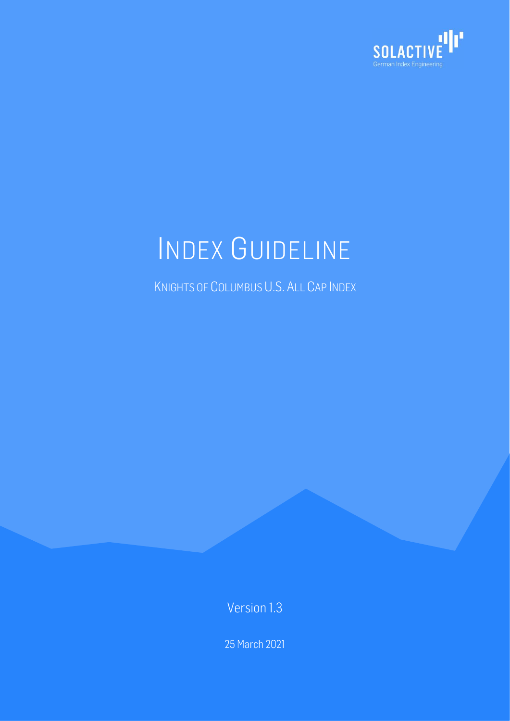

# INDEX GUIDELINE

KNIGHTS OF COLUMBUS U.S. ALL CAP INDEX

Version 1.3

25 March 2021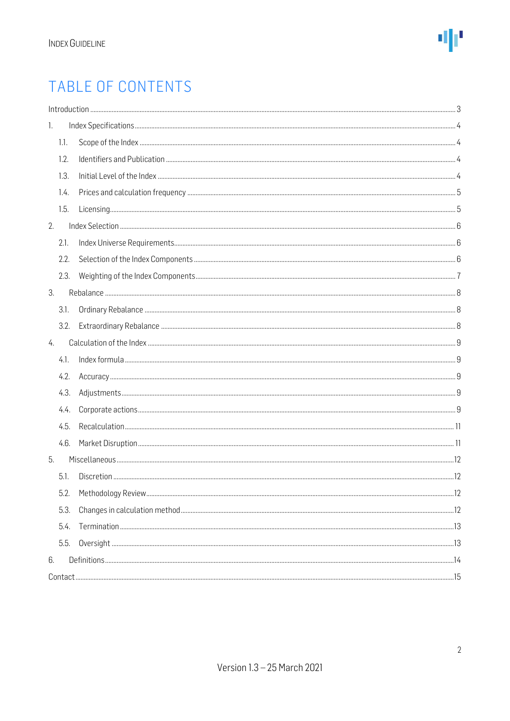### TABLE OF CONTENTS

|      | Introduction 33 |  |
|------|-----------------|--|
| 1.   |                 |  |
| 1.1. |                 |  |
| 1.2. |                 |  |
| 1.3. |                 |  |
| 1.4. |                 |  |
| 1.5. |                 |  |
| 2.   |                 |  |
| 2.1. |                 |  |
| 2.2. |                 |  |
| 2.3. |                 |  |
| 3.   |                 |  |
| 3.1. |                 |  |
| 3.2. |                 |  |
| 4.   |                 |  |
| 4.1. |                 |  |
| 4.2. |                 |  |
| 4.3. |                 |  |
| 4.4. |                 |  |
| 4.5. |                 |  |
| 4.6. |                 |  |
| 5.   |                 |  |
| 5.1. |                 |  |
| 5.2. |                 |  |
| 5.3. |                 |  |
| 5.4. |                 |  |
| 5.5. |                 |  |
| 6.   |                 |  |
|      |                 |  |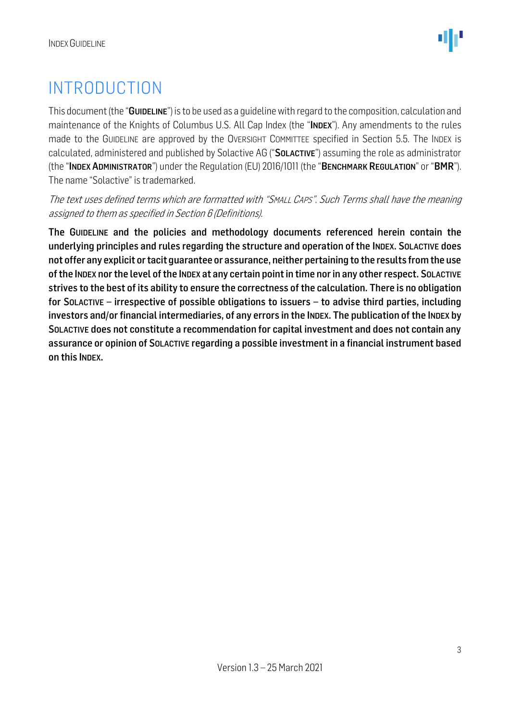### <span id="page-2-0"></span>INTRODUCTION

This document (the "GUIDELINE") is to be used as a quideline with regard to the composition, calculation and maintenance of the Knights of Columbus U.S. All Cap Index (the "INDEX"). Any amendments to the rules made to the GUIDELINE are approved by the OVERSIGHT COMMITTEE specified in Section 5.5. The INDEX is calculated, administered and published by Solactive AG ("SOLACTIVE") assuming the role as administrator (the "INDEX ADMINISTRATOR") under the Regulation (EU) 2016/1011 (the "BENCHMARK REGULATION" or "BMR"). The name "Solactive" is trademarked.

The text uses defined terms which are formatted with "SMALL CAPS". Such Terms shall have the meaning assigned to them as specified in Section 6 (Definitions).

The GUIDELINE and the policies and methodology documents referenced herein contain the underlying principles and rules regarding the structure and operation of the INDEX. SOLACTIVE does not offer any explicit or tacit guarantee or assurance, neither pertaining to the results from the use of the INDEX nor the level of the INDEX at any certain point in time nor in any other respect. SOLACTIVE strives to the best of its ability to ensure the correctness of the calculation. There is no obligation for SOLACTIVE – irrespective of possible obligations to issuers – to advise third parties, including investors and/or financial intermediaries, of any errors in the INDEX. The publication of the INDEX by SOLACTIVE does not constitute a recommendation for capital investment and does not contain any assurance or opinion of SOLACTIVE regarding a possible investment in a financial instrument based on this INDEX.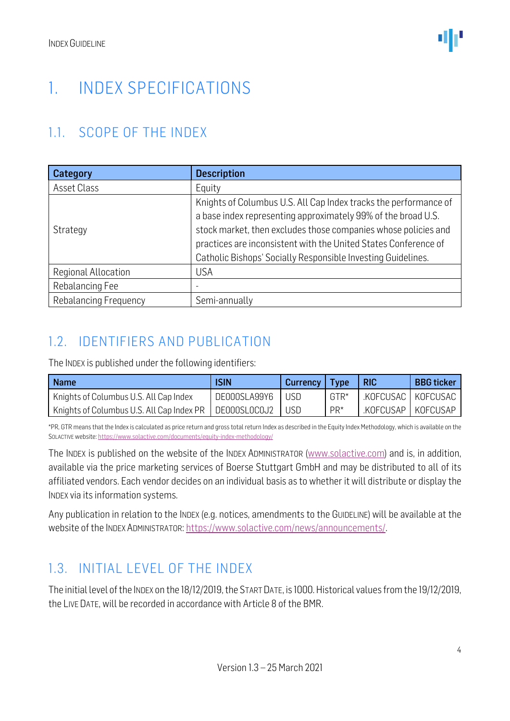### <span id="page-3-0"></span>1. INDEX SPECIFICATIONS

#### <span id="page-3-1"></span>1.1. SCOPE OF THE INDEX

| Category              | <b>Description</b>                                               |
|-----------------------|------------------------------------------------------------------|
| Asset Class           | Equity                                                           |
|                       | Knights of Columbus U.S. All Cap Index tracks the performance of |
|                       | a base index representing approximately 99% of the broad U.S.    |
| Strategy              | stock market, then excludes those companies whose policies and   |
|                       | practices are inconsistent with the United States Conference of  |
|                       | Catholic Bishops' Socially Responsible Investing Guidelines.     |
| Regional Allocation   | <b>USA</b>                                                       |
| Rebalancing Fee       | -                                                                |
| Rebalancing Frequency | Semi-annually                                                    |

#### <span id="page-3-2"></span>1.2. IDENTIFIERS AND PUBLICATION

The INDEX is published under the following identifiers:

| Name                                      | <b>ISIN</b>  | <b>Currency</b> | <b>Type</b> | <b>RIC</b>           | <b>BBG</b> ticker |
|-------------------------------------------|--------------|-----------------|-------------|----------------------|-------------------|
| Knights of Columbus U.S. All Cap Index    | DE000SLA99Y6 | USD             | GTR*        | .KOFCUSAC   KOFCUSAC |                   |
| Knights of Columbus U.S. All Cap Index PR | DE000SL0C0J2 |                 | $PR*$       | .KOFCUSAP   KOFCUSAP |                   |

\*PR, GTR means that the Index is calculated as price return and gross total return Index as described in the Equity Index Methodology, which is available on the SOLACTIVE website[: https://www.solactive.com/documents/equity-index-methodology/](https://www.solactive.com/documents/equity-index-methodology/)

The INDEX is published on the website of the INDEX ADMINISTRATOR [\(www.solactive.com\)](http://www.solactive.com/) and is, in addition, available via the price marketing services of Boerse Stuttgart GmbH and may be distributed to all of its affiliated vendors. Each vendor decides on an individual basis as to whether it will distribute or display the INDEX via its information systems.

Any publication in relation to the INDEX (e.g. notices, amendments to the GUIDELINE) will be available at the website of the INDEX ADMINISTRATOR: [https://www.solactive.com/news/announcements/.](https://www.solactive.com/news/announcements/)

#### <span id="page-3-3"></span>1.3. INITIAL LEVEL OF THE INDEX

The initial level of the INDEX on the 18/12/2019, the START DATE, is 1000.Historical values from the 19/12/2019, the LIVE DATE, will be recorded in accordance with Article 8 of the BMR.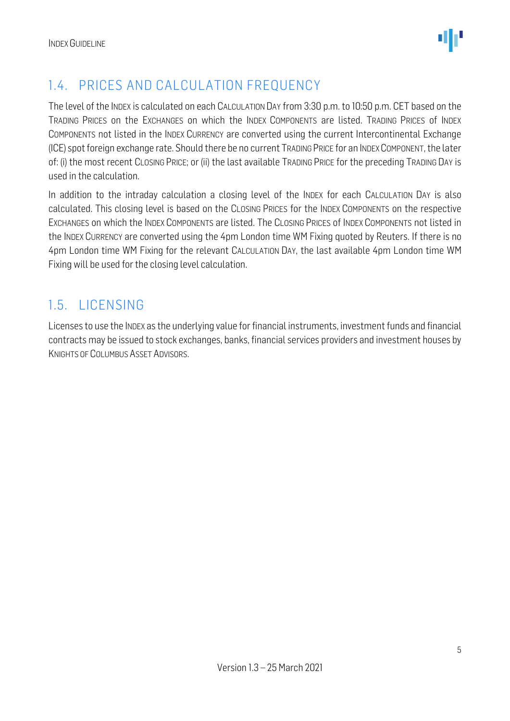

#### <span id="page-4-0"></span>1.4. PRICES AND CALCULATION FREQUENCY

The level of the INDEX is calculated on each CALCULATION DAY from 3:30 p.m. to 10:50 p.m. CET based on the TRADING PRICES on the EXCHANGES on which the INDEX COMPONENTS are listed. TRADING PRICES of INDEX COMPONENTS not listed in the INDEX CURRENCY are converted using the current Intercontinental Exchange (ICE) spot foreign exchange rate. Should there be no current TRADING PRICE for an INDEXCOMPONENT, the later of: (i) the most recent CLOSING PRICE; or (ii) the last available TRADING PRICE for the preceding TRADING DAY is used in the calculation.

In addition to the intraday calculation a closing level of the INDEX for each CALCULATION DAY is also calculated. This closing level is based on the CLOSING PRICES for the INDEX COMPONENTS on the respective EXCHANGES on which the INDEX COMPONENTS are listed. The CLOSING PRICES of INDEX COMPONENTS not listed in the INDEX CURRENCY are converted using the 4pm London time WM Fixing quoted by Reuters. If there is no 4pm London time WM Fixing for the relevant CALCULATION DAY, the last available 4pm London time WM Fixing will be used for the closing level calculation.

#### <span id="page-4-1"></span>1.5. LICENSING

Licenses to use the INDEX as the underlying value for financial instruments, investment funds and financial contracts may be issued to stock exchanges, banks, financial services providers and investment houses by KNIGHTS OF COLUMBUS ASSET ADVISORS.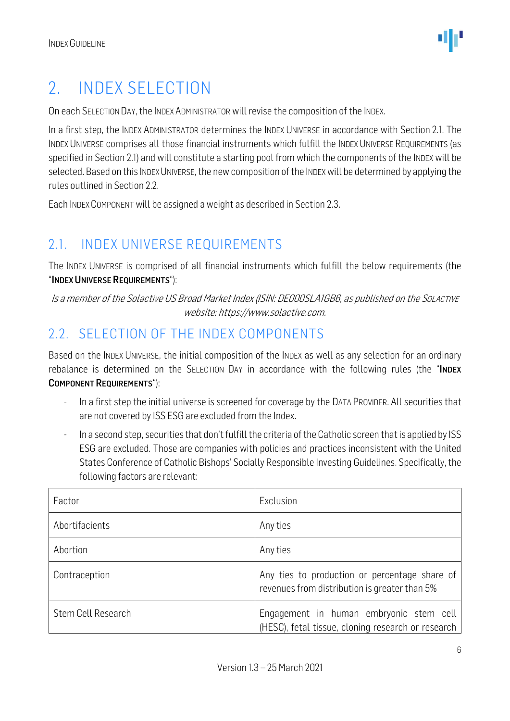### <span id="page-5-0"></span>2. INDEX SELECTION

On each SELECTION DAY, the INDEX ADMINISTRATOR will revise the composition of the INDEX.

In a first step, the INDEX ADMINISTRATOR determines the INDEX UNIVERSE in accordance with Section 2.1. The INDEX UNIVERSE comprises all those financial instruments which fulfill the INDEX UNIVERSE REQUIREMENTS (as specified in Section 2.1) and will constitute a starting pool from which the components of the INDEX will be selected. Based on this INDEX UNIVERSE, the new composition of the INDEX will be determined by applying the rules outlined in Section 2.2.

Each INDEX COMPONENT will be assigned a weight as described in Section 2.3.

#### <span id="page-5-1"></span>2.1. INDEX UNIVERSE REQUIREMENTS

The INDEX UNIVERSE is comprised of all financial instruments which fulfill the below requirements (the "INDEX UNIVERSE REQUIREMENTS"):

Is a member of the Solactive US Broad Market Index (ISIN: DE000SLA1GB6, as published on the SOLACTIVE website: https://www.solactive.com.

#### <span id="page-5-2"></span>2.2. SELECTION OF THE INDEX COMPONENTS

Based on the INDEX UNIVERSE, the initial composition of the INDEX as well as any selection for an ordinary rebalance is determined on the SELECTION DAY in accordance with the following rules (the "INDEX COMPONENT REQUIREMENTS"):

- In a first step the initial universe is screened for coverage by the DATA PROVIDER. All securities that are not covered by ISS ESG are excluded from the Index.
- In a second step, securities that don't fulfill the criteria of the Catholic screen that is applied by ISS ESG are excluded. Those are companies with policies and practices inconsistent with the United States Conference of Catholic Bishops' Socially Responsible Investing Guidelines. Specifically, the following factors are relevant:

| Factor             | Exclusion                                                                                      |
|--------------------|------------------------------------------------------------------------------------------------|
| Abortifacients     | Any ties                                                                                       |
| Abortion           | Any ties                                                                                       |
| Contraception      | Any ties to production or percentage share of<br>revenues from distribution is greater than 5% |
| Stem Cell Research | Engagement in human embryonic stem cell<br>(HESC), fetal tissue, cloning research or research  |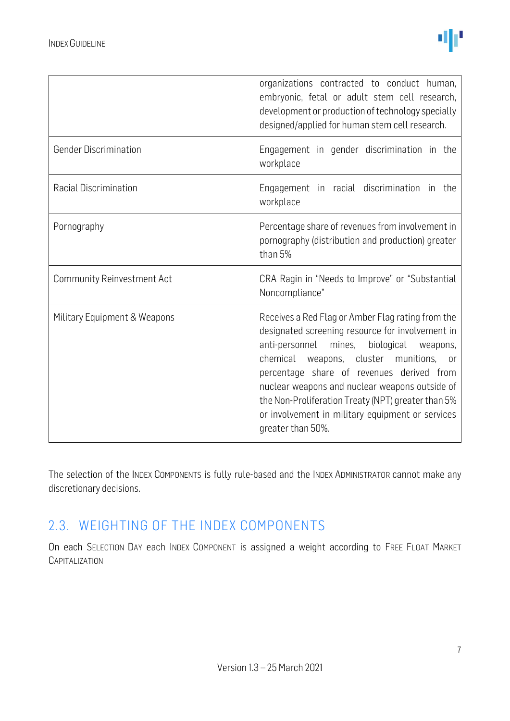|                                   | organizations contracted to conduct human,<br>embryonic, fetal or adult stem cell research,<br>development or production of technology specially<br>designed/applied for human stem cell research.                                                                                                                                                                                                                                |
|-----------------------------------|-----------------------------------------------------------------------------------------------------------------------------------------------------------------------------------------------------------------------------------------------------------------------------------------------------------------------------------------------------------------------------------------------------------------------------------|
| <b>Gender Discrimination</b>      | Engagement in gender discrimination in the<br>workplace                                                                                                                                                                                                                                                                                                                                                                           |
| Racial Discrimination             | Engagement in racial discrimination in the<br>workplace                                                                                                                                                                                                                                                                                                                                                                           |
| Pornography                       | Percentage share of revenues from involvement in<br>pornography (distribution and production) greater<br>than 5%                                                                                                                                                                                                                                                                                                                  |
| <b>Community Reinvestment Act</b> | CRA Ragin in "Needs to Improve" or "Substantial<br>Noncompliance"                                                                                                                                                                                                                                                                                                                                                                 |
| Military Equipment & Weapons      | Receives a Red Flag or Amber Flag rating from the<br>designated screening resource for involvement in<br>anti-personnel mines,<br>biological<br>weapons,<br>chemical weapons, cluster munitions, or<br>percentage share of revenues derived from<br>nuclear weapons and nuclear weapons outside of<br>the Non-Proliferation Treaty (NPT) greater than 5%<br>or involvement in military equipment or services<br>greater than 50%. |

The selection of the INDEX COMPONENTS is fully rule-based and the INDEX ADMINISTRATOR cannot make any discretionary decisions.

#### <span id="page-6-0"></span>2.3. WEIGHTING OF THE INDEX COMPONENTS

On each SELECTION DAY each INDEX COMPONENT is assigned a weight according to FREE FLOAT MARKET **CAPITALIZATION**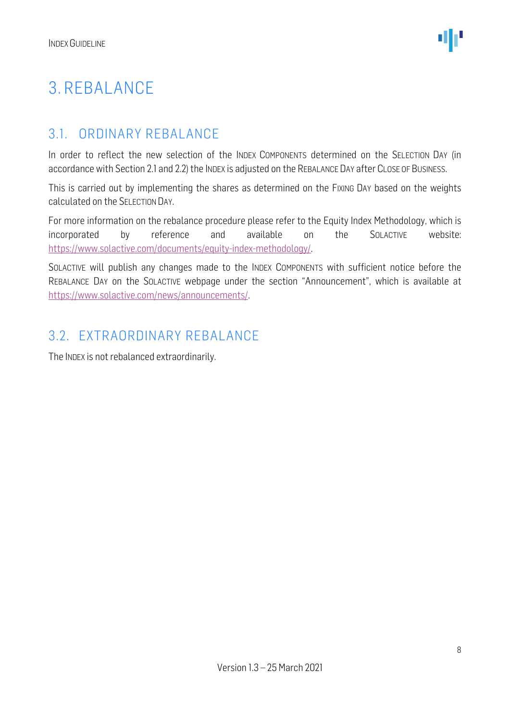### <span id="page-7-0"></span>3. REBALANCE

#### <span id="page-7-1"></span>3.1. ORDINARY REBALANCE

In order to reflect the new selection of the INDEX COMPONENTS determined on the SELECTION DAY (in accordance with Section 2.1 and 2.2) the INDEX is adjusted on the REBALANCE DAY after CLOSE OF BUSINESS.

This is carried out by implementing the shares as determined on the FIXING DAY based on the weights calculated on the SELECTION DAY.

For more information on the rebalance procedure please refer to the Equity Index Methodology, which is incorporated by reference and available on the SOLACTIVE website: [https://www.solactive.com/documents/equity-index-methodology/.](https://www.solactive.com/documents/equity-index-methodology/)

SOLACTIVE will publish any changes made to the INDEX COMPONENTS with sufficient notice before the REBALANCE DAY on the SOLACTIVE webpage under the section "Announcement", which is available at [https://www.solactive.com/news/announcements/.](https://www.solactive.com/news/announcements/)

#### <span id="page-7-2"></span>3.2. EXTRAORDINARY REBALANCE

The INDEX is not rebalanced extraordinarily.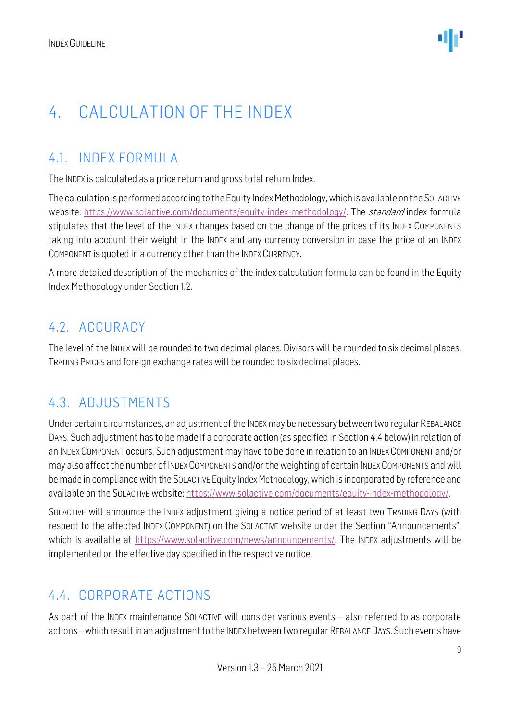### <span id="page-8-0"></span>4. CALCULATION OF THE INDEX

#### <span id="page-8-1"></span>4.1. INDEX FORMULA

The INDEX is calculated as a price return and gross total return Index.

The calculation is performed according to the Equity Index Methodology, which is available on the SOLACTIVE website: [https://www.solactive.com/documents/equity-index-methodology/.](https://www.solactive.com/documents/equity-index-methodology/) The standard index formula stipulates that the level of the INDEX changes based on the change of the prices of its INDEX COMPONENTS taking into account their weight in the INDEX and any currency conversion in case the price of an INDEX COMPONENT is quoted in a currency other than the INDEX CURRENCY.

A more detailed description of the mechanics of the index calculation formula can be found in the Equity Index Methodology under Section 1.2.

#### <span id="page-8-2"></span>4.2. ACCURACY

The level of the INDEX will be rounded to two decimal places. Divisors will be rounded to six decimal places. TRADING PRICES and foreign exchange rates will be rounded to six decimal places.

#### <span id="page-8-3"></span>4.3. ADJUSTMENTS

Under certain circumstances, an adjustment of the INDEX may be necessary between two regular REBALANCE DAYS. Such adjustment has to be made if a corporate action (as specified in Section 4.4 below) in relation of an INDEX COMPONENT occurs. Such adjustment may have to be done in relation to an INDEX COMPONENT and/or may also affect the number of INDEX COMPONENTS and/or the weighting of certain INDEX COMPONENTS and will be made in compliance with the SOLACTIVE Equity Index Methodology, which is incorporated by reference and available on the SOLACTIVE website: [https://www.solactive.com/documents/equity-index-methodology/.](https://www.solactive.com/documents/equity-index-methodology/)

SOLACTIVE will announce the INDEX adjustment giving a notice period of at least two TRADING DAYS (with respect to the affected INDEX COMPONENT) on the SOLACTIVE website under the Section "Announcements", which is available at [https://www.solactive.com/news/announcements/.](https://www.solactive.com/news/announcements/) The INDEX adjustments will be implemented on the effective day specified in the respective notice.

#### <span id="page-8-4"></span>4.4. CORPORATE ACTIONS

As part of the INDEX maintenance SOLACTIVE will consider various events – also referred to as corporate actions –which result in an adjustment to the INDEX between two regular REBALANCE DAYS. Such events have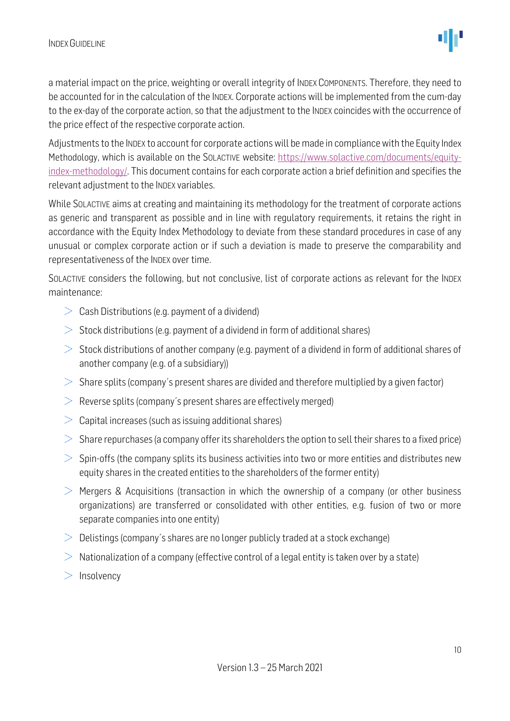a material impact on the price, weighting or overall integrity of INDEX COMPONENTS. Therefore, they need to be accounted for in the calculation of the INDEX. Corporate actions will be implemented from the cum-day to the ex-day of the corporate action, so that the adjustment to the INDEX coincides with the occurrence of the price effect of the respective corporate action.

Adjustments to the INDEX to account for corporate actions will be made in compliance with the Equity Index Methodology, which is available on the SOLACTIVE website: [https://www.solactive.com/documents/equity](https://www.solactive.com/documents/equity-index-methodology/)[index-methodology/.](https://www.solactive.com/documents/equity-index-methodology/) This document contains for each corporate action a brief definition and specifies the relevant adjustment to the INDEX variables.

While SOLACTIVE aims at creating and maintaining its methodology for the treatment of corporate actions as generic and transparent as possible and in line with regulatory requirements, it retains the right in accordance with the Equity Index Methodology to deviate from these standard procedures in case of any unusual or complex corporate action or if such a deviation is made to preserve the comparability and representativeness of the INDEX over time.

SOLACTIVE considers the following, but not conclusive, list of corporate actions as relevant for the INDEX maintenance:

- $\geq$  Cash Distributions (e.g. payment of a dividend)
- $>$  Stock distributions (e.g. payment of a dividend in form of additional shares)
- $>$  Stock distributions of another company (e.g. payment of a dividend in form of additional shares of another company (e.g. of a subsidiary))
- $>$  Share splits (company's present shares are divided and therefore multiplied by a given factor)
- $\geq$  Reverse splits (company's present shares are effectively merged)
- $\geq$  Capital increases (such as issuing additional shares)
- $>$  Share repurchases (a company offer its shareholders the option to sell their shares to a fixed price)
- $>$  Spin-offs (the company splits its business activities into two or more entities and distributes new equity shares in the created entities to the shareholders of the former entity)
- $\geq$  Mergers & Acquisitions (transaction in which the ownership of a company (or other business organizations) are transferred or consolidated with other entities, e.g. fusion of two or more separate companies into one entity)
- $\geq$  Delistings (company's shares are no longer publicly traded at a stock exchange)
- $>$  Nationalization of a company (effective control of a legal entity is taken over by a state)
- $>$  Insolvency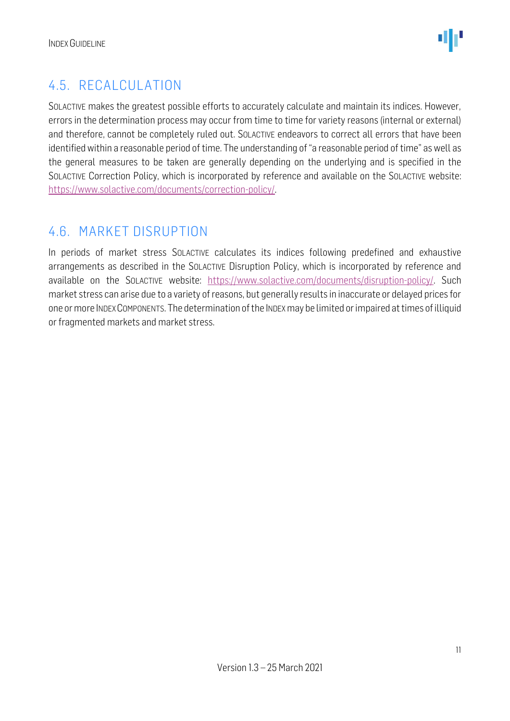#### <span id="page-10-0"></span>4.5. RECALCULATION

SOLACTIVE makes the greatest possible efforts to accurately calculate and maintain its indices. However, errors in the determination process may occur from time to time for variety reasons (internal or external) and therefore, cannot be completely ruled out. SOLACTIVE endeavors to correct all errors that have been identified within a reasonable period of time. The understanding of "a reasonable period of time" as well as the general measures to be taken are generally depending on the underlying and is specified in the SOLACTIVE Correction Policy, which is incorporated by reference and available on the SOLACTIVE website: [https://www.solactive.com/documents/correction-policy/.](https://www.solactive.com/documents/correction-policy/)

#### <span id="page-10-1"></span>4.6. MARKET DISRUPTION

In periods of market stress SOLACTIVE calculates its indices following predefined and exhaustive arrangements as described in the SOLACTIVE Disruption Policy, which is incorporated by reference and available on the SOLACTIVE website: [https://www.solactive.com/documents/disruption-policy/.](https://www.solactive.com/documents/disruption-policy/) Such market stress can arise due to a variety of reasons, but generally results in inaccurate or delayed prices for one or more INDEXCOMPONENTS. The determination of the INDEXmay be limited or impaired at times of illiquid or fragmented markets and market stress.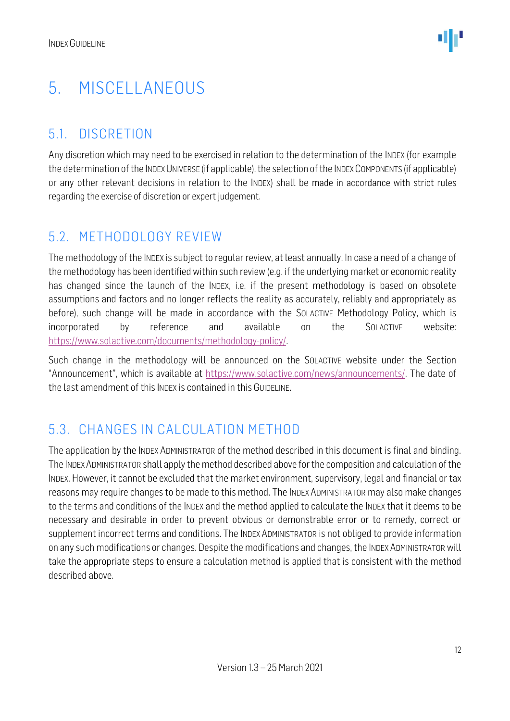### <span id="page-11-0"></span>5. MISCELLANEOUS

#### <span id="page-11-1"></span>5.1. DISCRETION

Any discretion which may need to be exercised in relation to the determination of the INDEX (for example the determination of the INDEX UNIVERSE (if applicable), the selection of the INDEX COMPONENTS (if applicable) or any other relevant decisions in relation to the INDEX) shall be made in accordance with strict rules regarding the exercise of discretion or expert judgement.

#### <span id="page-11-2"></span>5.2. METHODOLOGY REVIEW

The methodology of the INDEX is subject to regular review, at least annually. In case a need of a change of the methodology has been identified within such review (e.g. if the underlying market or economic reality has changed since the launch of the INDEX, i.e. if the present methodology is based on obsolete assumptions and factors and no longer reflects the reality as accurately, reliably and appropriately as before), such change will be made in accordance with the SOLACTIVE Methodology Policy, which is incorporated by reference and available on the SOLACTIVE website: [https://www.solactive.com/documents/methodology-policy/.](https://www.solactive.com/documents/methodology-policy/)

Such change in the methodology will be announced on the SOLACTIVE website under the Section "Announcement", which is available at [https://www.solactive.com/news/announcements/.](https://www.solactive.com/news/announcements/) The date of the last amendment of this INDEX is contained in this GUIDELINE.

#### <span id="page-11-3"></span>5.3. CHANGES IN CALCULATION METHOD

The application by the INDEX ADMINISTRATOR of the method described in this document is final and binding. The INDEXADMINISTRATOR shall apply the method described above for the composition and calculation of the INDEX. However, it cannot be excluded that the market environment, supervisory, legal and financial or tax reasons may require changes to be made to this method. The INDEX ADMINISTRATOR may also make changes to the terms and conditions of the INDEX and the method applied to calculate the INDEX that it deems to be necessary and desirable in order to prevent obvious or demonstrable error or to remedy, correct or supplement incorrect terms and conditions. The INDEX ADMINISTRATOR is not obliged to provide information on any such modifications or changes. Despite the modifications and changes, the INDEX ADMINISTRATOR will take the appropriate steps to ensure a calculation method is applied that is consistent with the method described above.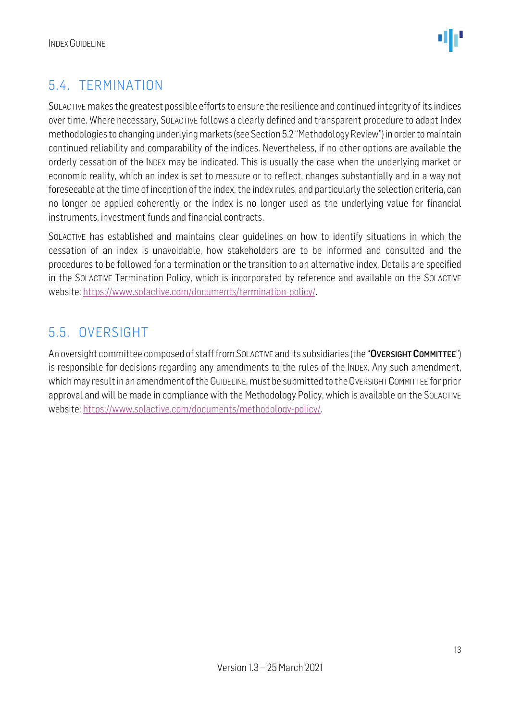

#### <span id="page-12-0"></span>5.4. TERMINATION

SOLACTIVE makes the greatest possible efforts to ensure the resilience and continued integrity of its indices over time. Where necessary, SOLACTIVE follows a clearly defined and transparent procedure to adapt Index methodologies to changing underlying markets (see Section 5.2 "Methodology Review") in order to maintain continued reliability and comparability of the indices. Nevertheless, if no other options are available the orderly cessation of the INDEX may be indicated. This is usually the case when the underlying market or economic reality, which an index is set to measure or to reflect, changes substantially and in a way not foreseeable at the time of inception of the index, the index rules, and particularly the selection criteria, can no longer be applied coherently or the index is no longer used as the underlying value for financial instruments, investment funds and financial contracts.

SOLACTIVE has established and maintains clear guidelines on how to identify situations in which the cessation of an index is unavoidable, how stakeholders are to be informed and consulted and the procedures to be followed for a termination or the transition to an alternative index. Details are specified in the SOLACTIVE Termination Policy, which is incorporated by reference and available on the SOLACTIVE website: [https://www.solactive.com/documents/termination-policy/.](https://www.solactive.com/documents/termination-policy/)

#### <span id="page-12-1"></span>5.5. OVERSIGHT

An oversight committee composed of staff from SOLACTIVE and its subsidiaries (the "OVERSIGHT COMMITTEE") is responsible for decisions regarding any amendments to the rules of the INDEX. Any such amendment, which may result in an amendment of the GUIDELINE, must be submitted to the OVERSIGHT COMMITTEE for prior approval and will be made in compliance with the [Methodology](http://methodology/) Policy, which is available on the SOLACTIVE website: [https://www.solactive.com/documents/methodology-policy/.](https://www.solactive.com/documents/methodology-policy/)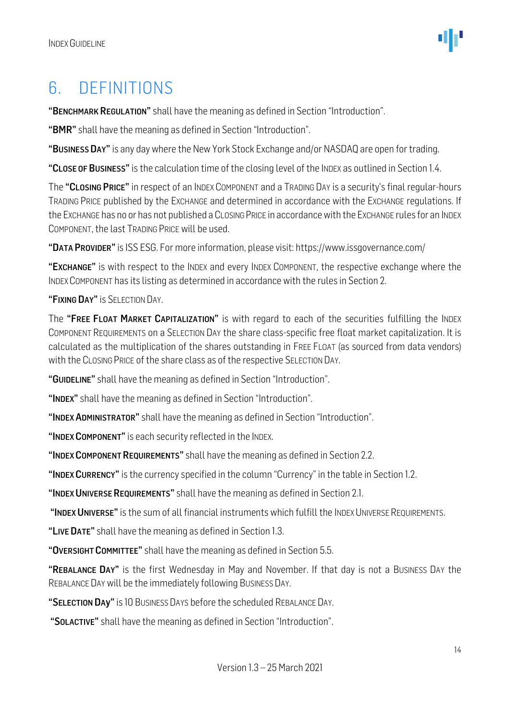### <span id="page-13-0"></span>6. DEFINITIONS

"BENCHMARK REGULATION" shall have the meaning as defined in Section "Introduction".

"BMR" shall have the meaning as defined in Section "Introduction".

"BUSINESS DAY" is any day where the New York Stock Exchange and/or NASDAQ are open for trading.

"CLOSE OF BUSINESS" is the calculation time of the closing level of the INDEX as outlined in Section 1.4.

The "CLOSING PRICE" in respect of an INDEX COMPONENT and a TRADING DAY is a security's final regular-hours TRADING PRICE published by the EXCHANGE and determined in accordance with the EXCHANGE regulations. If the EXCHANGE has no or has not published a CLOSING PRICE in accordance with the EXCHANGE rules for an INDEX COMPONENT, the last TRADING PRICE will be used.

"DATA PROVIDER"is ISS ESG. For more information, please visit: https://www.issgovernance.com/

"EXCHANGE" is with respect to the INDEX and every INDEX COMPONENT, the respective exchange where the INDEX COMPONENT has its listing as determined in accordance with the rules in Section 2.

#### "FIXING DAY" IS SELECTION DAY.

The "FREE FLOAT MARKET CAPITALIZATION" is with regard to each of the securities fulfilling the INDEX COMPONENT REQUIREMENTS on a SELECTION DAY the share class-specific free float market capitalization. It is calculated as the multiplication of the shares outstanding in FREE FLOAT (as sourced from data vendors) with the CLOSING PRICE of the share class as of the respective SELECTION DAY.

"GUIDELINE" shall have the meaning as defined in Section "Introduction".

"INDEX" shall have the meaning as defined in Section "Introduction".

"INDEX ADMINISTRATOR" shall have the meaning as defined in Section "Introduction".

"INDEX COMPONENT" is each security reflected in the INDEX.

"INDEX COMPONENT REQUIREMENTS" shall have the meaning as defined in Section 2.2.

"INDEX CURRENCY" is the currency specified in the column "Currency" in the table in Section 1.2.

"INDEX UNIVERSE REQUIREMENTS" shall have the meaning as defined in Section 2.1.

"INDEX UNIVERSE" is the sum of all financial instruments which fulfill the INDEX UNIVERSE REQUIREMENTS.

"LIVE DATE" shall have the meaning as defined in Section 1.3.

"OVERSIGHT COMMITTEE" shall have the meaning as defined in Section 5.5.

"REBALANCE DAY" is the first Wednesday in May and November. If that day is not a Business Day the REBALANCE DAY will be the immediately following BUSINESS DAY.

"SELECTION DAY" is 10 BUSINESS DAYS before the scheduled REBALANCE DAY.

"SOLACTIVE" shall have the meaning as defined in Section "Introduction".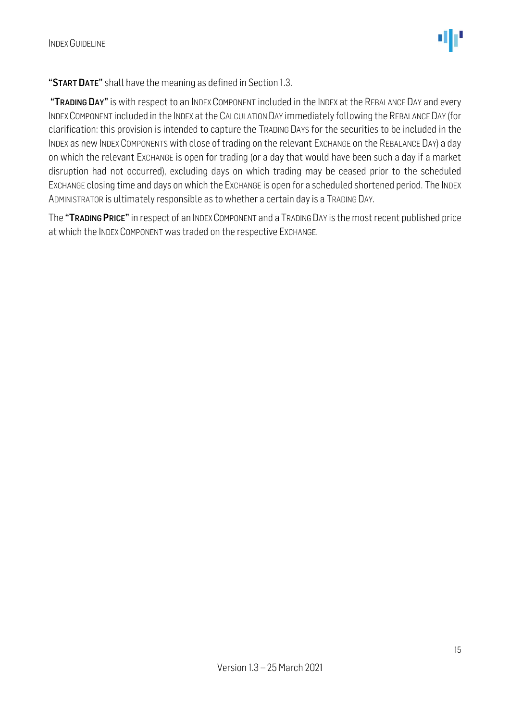

"START DATE" shall have the meaning as defined in Section 1.3.

"TRADING DAY" is with respect to an INDEX COMPONENT included in the INDEX at the REBALANCE DAY and every INDEXCOMPONENT included in the INDEX at the CALCULATION DAY immediately following the REBALANCE DAY (for clarification: this provision is intended to capture the TRADING DAYS for the securities to be included in the INDEX as new INDEX COMPONENTS with close of trading on the relevant EXCHANGE on the REBALANCE DAY) a day on which the relevant EXCHANGE is open for trading (or a day that would have been such a day if a market disruption had not occurred), excluding days on which trading may be ceased prior to the scheduled EXCHANGE closing time and days on which the EXCHANGE is open for a scheduled shortened period. The INDEX ADMINISTRATOR is ultimately responsible as to whether a certain day is a TRADING DAY.

The "TRADING PRICE" in respect of an INDEX COMPONENT and a TRADING DAY is the most recent published price at which the INDEX COMPONENT was traded on the respective EXCHANGE.